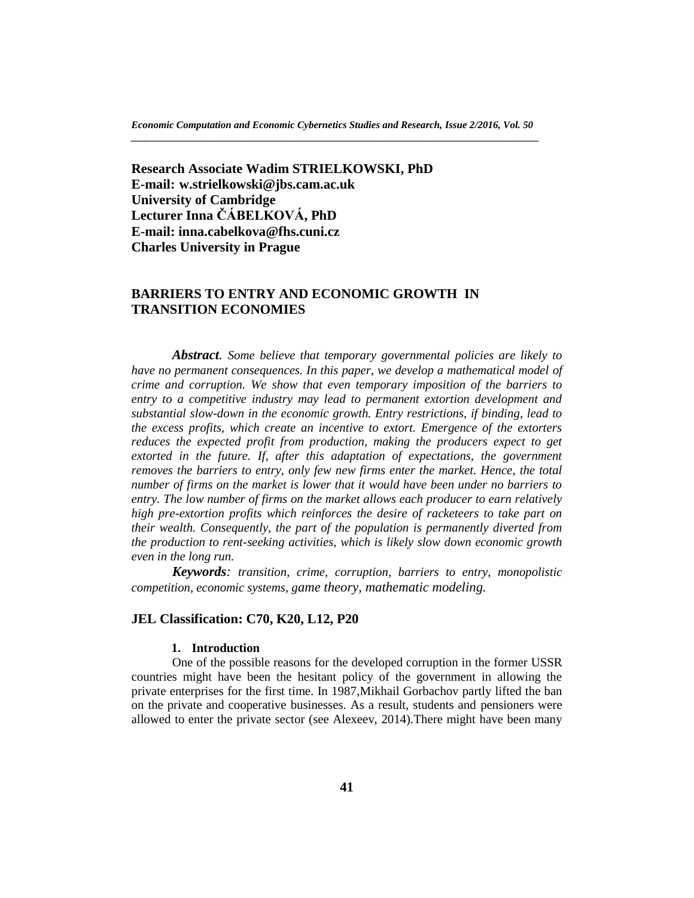**Research Associate Wadim STRIELKOWSKI, PhD E-mail: w.strielkowski@jbs.cam.ac.uk University of Cambridge Lecturer Inna ČÁBELKOVÁ, PhD E-mail: inna.cabelkova@fhs.cuni.cz Charles University in Prague**

# **BARRIERS TO ENTRY AND ECONOMIC GROWTH IN TRANSITION ECONOMIES**

*Abstract. Some believe that temporary governmental policies are likely to have no permanent consequences. In this paper, we develop a mathematical model of crime and corruption. We show that even temporary imposition of the barriers to entry to a competitive industry may lead to permanent extortion development and substantial slow-down in the economic growth. Entry restrictions, if binding, lead to the excess profits, which create an incentive to extort. Emergence of the extorters reduces the expected profit from production, making the producers expect to get* extorted in the future. If, after this adaptation of expectations, the government *removes the barriers to entry, only few new firms enter the market. Hence, the total number of firms on the market is lower that it would have been under no barriers to entry. The low number of firms on the market allows each producer to earn relatively high pre-extortion profits which reinforces the desire of racketeers to take part on their wealth. Consequently, the part of the population is permanently diverted from the production to rent-seeking activities, which is likely slow down economic growth even in the long run.*

*Keywords: transition, crime, corruption, barriers to entry, monopolistic competition, economic systems, game theory, mathematic modeling.*

### **JEL Classification: C70, K20, L12, P20**

# **1. Introduction**

One of the possible reasons for the developed corruption in the former USSR countries might have been the hesitant policy of the government in allowing the private enterprises for the first time. In 1987,Mikhail Gorbachov partly lifted the ban on the private and cooperative businesses. As a result, students and pensioners were allowed to enter the private sector (see Alexeev, 2014)*.*There might have been many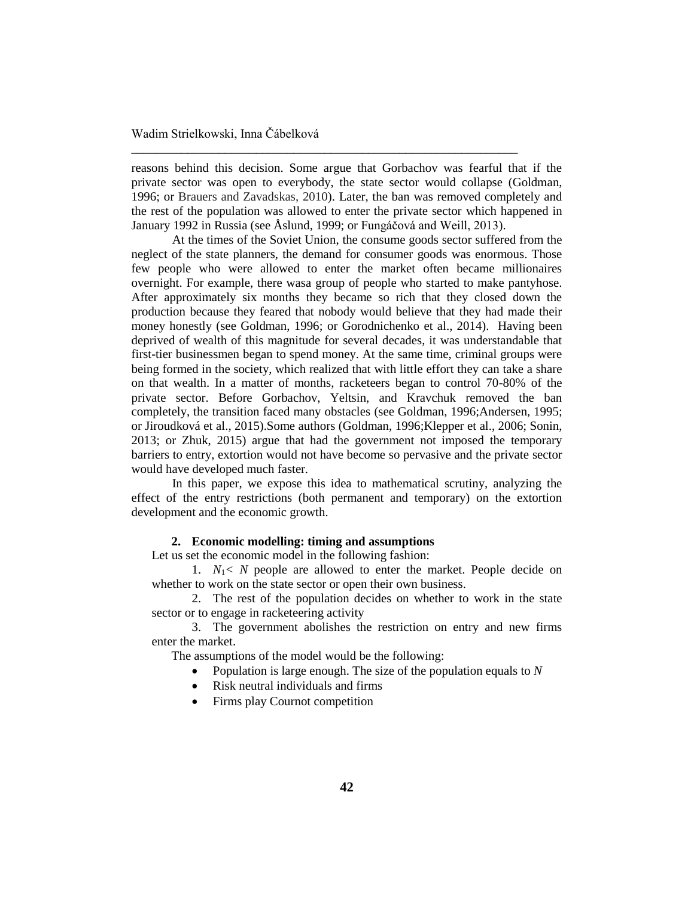reasons behind this decision. Some argue that Gorbachov was fearful that if the private sector was open to everybody, the state sector would collapse (Goldman, 1996; or Brauers and Zavadskas, 2010). Later, the ban was removed completely and the rest of the population was allowed to enter the private sector which happened in January 1992 in Russia (see Åslund, 1999; or Fungáčová and Weill, 2013).

\_\_\_\_\_\_\_\_\_\_\_\_\_\_\_\_\_\_\_\_\_\_\_\_\_\_\_\_\_\_\_\_\_\_\_\_\_\_\_\_\_\_\_\_\_\_\_\_\_\_\_\_\_\_\_\_\_\_\_\_\_\_

At the times of the Soviet Union, the consume goods sector suffered from the neglect of the state planners, the demand for consumer goods was enormous. Those few people who were allowed to enter the market often became millionaires overnight. For example, there wasa group of people who started to make pantyhose. After approximately six months they became so rich that they closed down the production because they feared that nobody would believe that they had made their money honestly (see Goldman, 1996; or Gorodnichenko et al., 2014). Having been deprived of wealth of this magnitude for several decades, it was understandable that first-tier businessmen began to spend money. At the same time, criminal groups were being formed in the society, which realized that with little effort they can take a share on that wealth. In a matter of months, racketeers began to control 70-80% of the private sector. Before Gorbachov, Yeltsin, and Kravchuk removed the ban completely, the transition faced many obstacles (see Goldman, 1996;Andersen, 1995; or Jiroudková et al., 2015).Some authors (Goldman, 1996;Klepper et al., 2006; Sonin, 2013; or Zhuk, 2015) argue that had the government not imposed the temporary barriers to entry, extortion would not have become so pervasive and the private sector would have developed much faster*.*

In this paper, we expose this idea to mathematical scrutiny, analyzing the effect of the entry restrictions (both permanent and temporary) on the extortion development and the economic growth.

### **2. Economic modelling: timing and assumptions**

Let us set the economic model in the following fashion:

1. *N*1*< N* people are allowed to enter the market. People decide on whether to work on the state sector or open their own business.

2. The rest of the population decides on whether to work in the state sector or to engage in racketeering activity

3. The government abolishes the restriction on entry and new firms enter the market.

The assumptions of the model would be the following:

- Population is large enough. The size of the population equals to *N*
- Risk neutral individuals and firms
- Firms play Cournot competition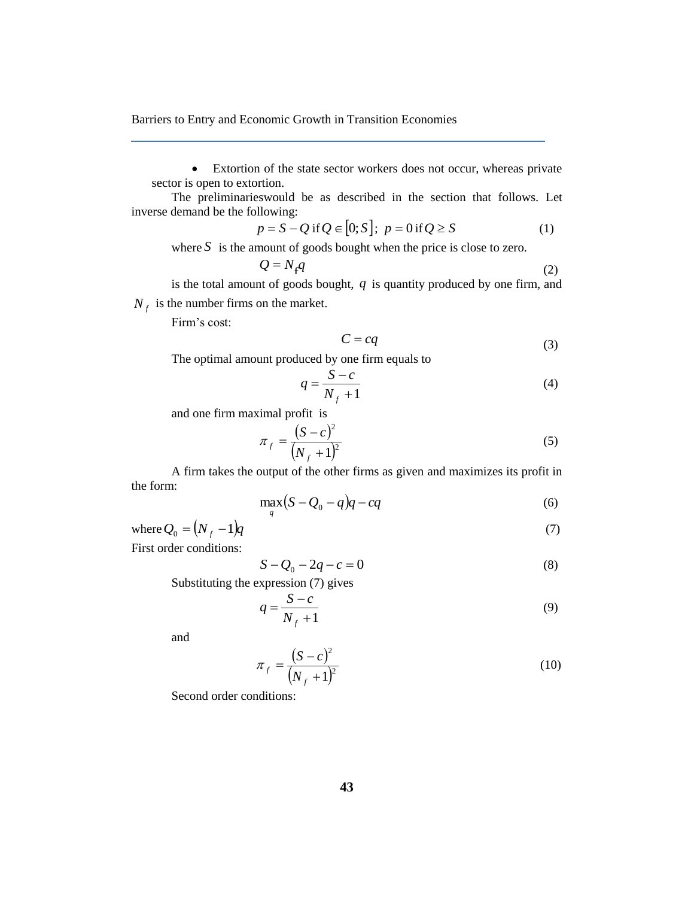Extortion of the state sector workers does not occur, whereas private sector is open to extortion.

The preliminarieswould be as described in the section that follows. Let inverse demand be the following:

$$
p = S - Q \text{ if } Q \in [0; S]; \ p = 0 \text{ if } Q \ge S \tag{1}
$$

where  $S$  is the amount of goods bought when the price is close to zero.

$$
Q = N_f q \tag{2}
$$

is the total amount of goods bought,  $q$  is quantity produced by one firm, and  $N_f$  is the number firms on the market.

Firm's cost:

$$
C = cq \tag{3}
$$

The optimal amount produced by one firm equals to

$$
q = \frac{S - c}{N_f + 1} \tag{4}
$$

and one firm maximal profit is

$$
\pi_f = \frac{(S - c)^2}{(N_f + 1)^2}
$$
\n(5)

A firm takes the output of the other firms as given and maximizes its profit in the form:

$$
\max_{q} \left( S - Q_0 - q \right) q - cq \tag{6}
$$

where  $Q_0 = (N_f - 1)q$  (7)

First order conditions:

$$
S - Q_0 - 2q - c = 0 \tag{8}
$$

Substituting the expression (7) gives

$$
q = \frac{S - c}{N_f + 1} \tag{9}
$$

and

$$
\pi_f = \frac{(S-c)^2}{(N_f+1)^2}
$$
\n(10)

Second order conditions: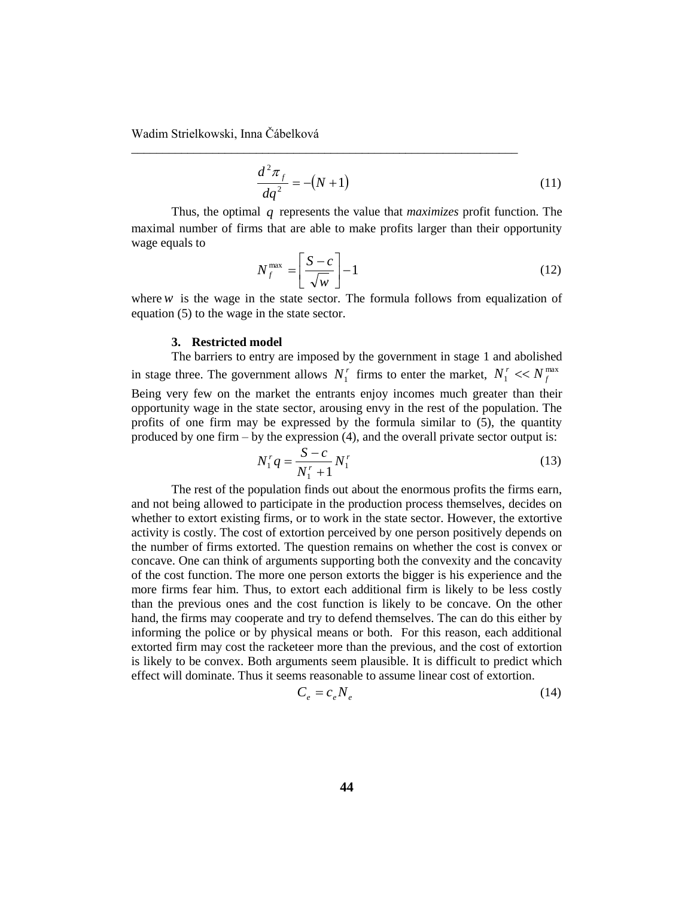$$
\frac{d^2 \pi_f}{dq^2} = -(N+1)
$$
 (11)

Thus, the optimal *q* represents the value that *maximizes* profit function. The maximal number of firms that are able to make profits larger than their opportunity wage equals to

\_\_\_\_\_\_\_\_\_\_\_\_\_\_\_\_\_\_\_\_\_\_\_\_\_\_\_\_\_\_\_\_\_\_\_\_\_\_\_\_\_\_\_\_\_\_\_\_\_\_\_\_\_\_\_\_\_\_\_\_\_\_

$$
N_f^{\max} = \left[\frac{S-c}{\sqrt{w}}\right] - 1\tag{12}
$$

where  $w$  is the wage in the state sector. The formula follows from equalization of equation (5) to the wage in the state sector.

### **3. Restricted model**

The barriers to entry are imposed by the government in stage 1 and abolished in stage three. The government allows  $N_1^r$  firms to enter the market,  $N_1^r \ll N_f^{\max}$  $N_1^r \ll N_f^r$ Being very few on the market the entrants enjoy incomes much greater than their opportunity wage in the state sector, arousing envy in the rest of the population. The profits of one firm may be expressed by the formula similar to (5), the quantity produced by one firm – by the expression (4), and the overall private sector output is:

$$
N_1^r q = \frac{S - c}{N_1^r + 1} N_1^r \tag{13}
$$

The rest of the population finds out about the enormous profits the firms earn, and not being allowed to participate in the production process themselves, decides on whether to extort existing firms, or to work in the state sector. However, the extortive activity is costly. The cost of extortion perceived by one person positively depends on the number of firms extorted. The question remains on whether the cost is convex or concave. One can think of arguments supporting both the convexity and the concavity of the cost function. The more one person extorts the bigger is his experience and the more firms fear him. Thus, to extort each additional firm is likely to be less costly than the previous ones and the cost function is likely to be concave. On the other hand, the firms may cooperate and try to defend themselves. The can do this either by informing the police or by physical means or both. For this reason, each additional extorted firm may cost the racketeer more than the previous, and the cost of extortion is likely to be convex. Both arguments seem plausible. It is difficult to predict which effect will dominate. Thus it seems reasonable to assume linear cost of extortion.

$$
C_e = c_e N_e \tag{14}
$$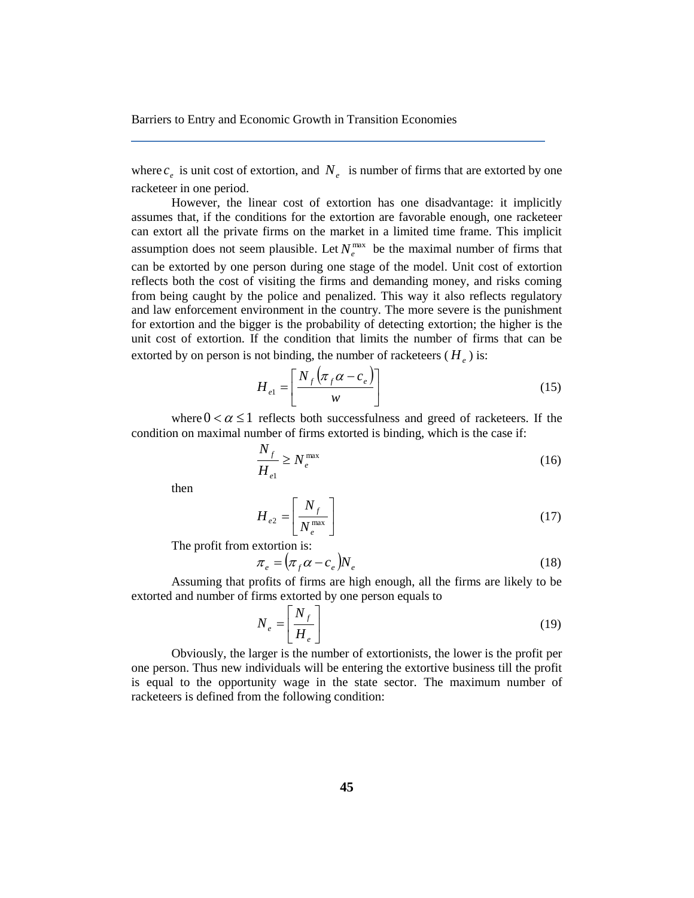where  $c_e$  is unit cost of extortion, and  $N_e$  is number of firms that are extorted by one racketeer in one period.

However, the linear cost of extortion has one disadvantage: it implicitly assumes that, if the conditions for the extortion are favorable enough, one racketeer can extort all the private firms on the market in a limited time frame. This implicit assumption does not seem plausible. Let  $N_e^{\text{max}}$  be the maximal number of firms that can be extorted by one person during one stage of the model. Unit cost of extortion reflects both the cost of visiting the firms and demanding money, and risks coming from being caught by the police and penalized. This way it also reflects regulatory and law enforcement environment in the country. The more severe is the punishment for extortion and the bigger is the probability of detecting extortion; the higher is the unit cost of extortion. If the condition that limits the number of firms that can be extorted by on person is not binding, the number of racketeers  $(H_e)$  is:

$$
H_{e1} = \left[\frac{N_f \left(\pi_f \alpha - c_e\right)}{w}\right]
$$
 (15)

where  $0 < \alpha \leq 1$  reflects both successfulness and greed of racketeers. If the condition on maximal number of firms extorted is binding, which is the case if:

$$
\frac{N_f}{H_{el}} \ge N_e^{\text{max}} \tag{16}
$$

then

$$
H_{e2} = \left[\frac{N_f}{N_e^{\text{max}}}\right]
$$
 (17)

The profit from extortion is:

$$
\pi_e = (\pi_f \alpha - c_e) N_e \tag{18}
$$

Assuming that profits of firms are high enough, all the firms are likely to be extorted and number of firms extorted by one person equals to

$$
N_e = \left[ \frac{N_f}{H_e} \right] \tag{19}
$$

Obviously, the larger is the number of extortionists, the lower is the profit per one person. Thus new individuals will be entering the extortive business till the profit is equal to the opportunity wage in the state sector. The maximum number of racketeers is defined from the following condition: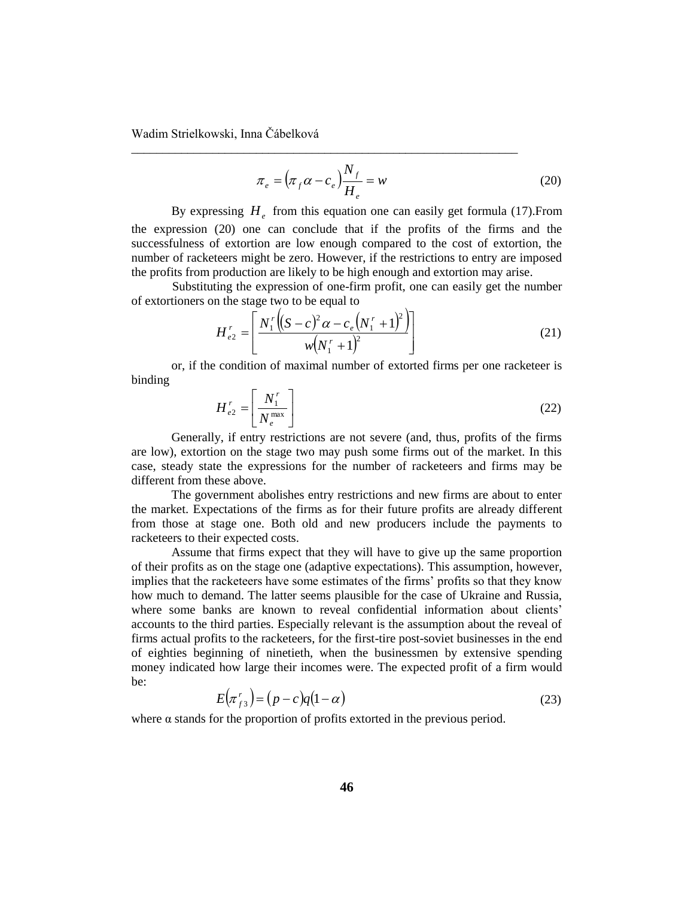$$
\pi_e = \left(\pi_f \alpha - c_e\right) \frac{N_f}{H_e} = w \tag{20}
$$

By expressing  $H_e$  from this equation one can easily get formula (17). From the expression (20) one can conclude that if the profits of the firms and the successfulness of extortion are low enough compared to the cost of extortion, the number of racketeers might be zero. However, if the restrictions to entry are imposed the profits from production are likely to be high enough and extortion may arise.

\_\_\_\_\_\_\_\_\_\_\_\_\_\_\_\_\_\_\_\_\_\_\_\_\_\_\_\_\_\_\_\_\_\_\_\_\_\_\_\_\_\_\_\_\_\_\_\_\_\_\_\_\_\_\_\_\_\_\_\_\_\_

Substituting the expression of one-firm profit, one can easily get the number of extortioners on the stage two to be equal to

$$
H_{e2}^{r} = \left[ \frac{N_1^r \left( (S - c)^2 \alpha - c_e \left( N_1^r + 1 \right)^2 \right)}{w \left( N_1^r + 1 \right)^2} \right]
$$
(21)

or, if the condition of maximal number of extorted firms per one racketeer is binding

$$
H_{e2}^r = \left\lfloor \frac{N_1^r}{N_e^{\max}} \right\rfloor \tag{22}
$$

Generally, if entry restrictions are not severe (and, thus, profits of the firms are low), extortion on the stage two may push some firms out of the market. In this case, steady state the expressions for the number of racketeers and firms may be different from these above.

The government abolishes entry restrictions and new firms are about to enter the market. Expectations of the firms as for their future profits are already different from those at stage one. Both old and new producers include the payments to racketeers to their expected costs.

Assume that firms expect that they will have to give up the same proportion of their profits as on the stage one (adaptive expectations). This assumption, however, implies that the racketeers have some estimates of the firms' profits so that they know how much to demand. The latter seems plausible for the case of Ukraine and Russia, where some banks are known to reveal confidential information about clients' accounts to the third parties. Especially relevant is the assumption about the reveal of firms actual profits to the racketeers, for the first-tire post-soviet businesses in the end of eighties beginning of ninetieth, when the businessmen by extensive spending money indicated how large their incomes were. The expected profit of a firm would be:

$$
E(\pi_{f3}^r) = (p - c)q(1 - \alpha) \tag{23}
$$

where  $\alpha$  stands for the proportion of profits extorted in the previous period.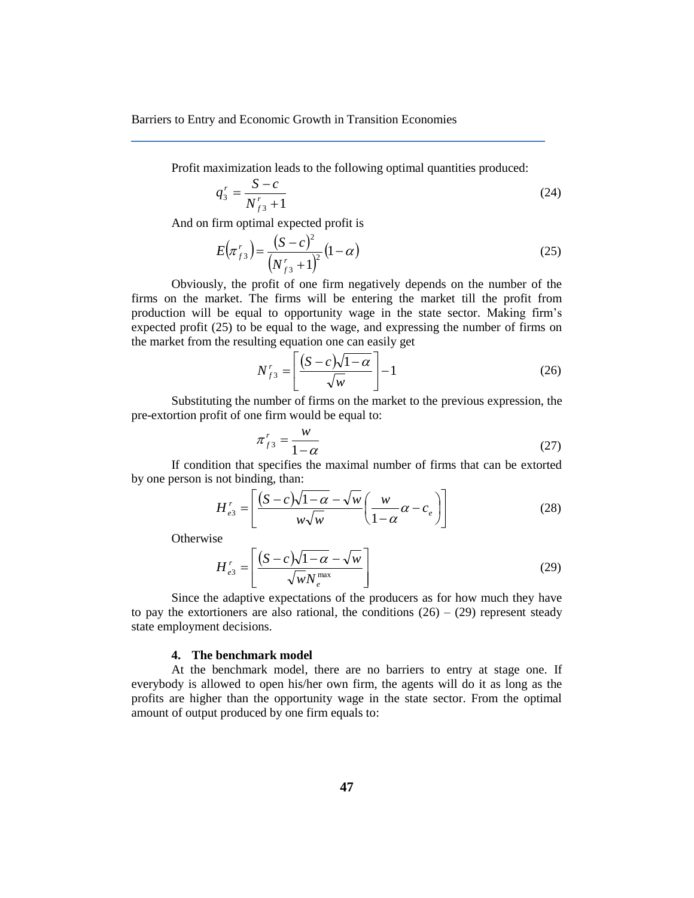Profit maximization leads to the following optimal quantities produced:

$$
q_3^r = \frac{S - c}{N_{f3}^r + 1} \tag{24}
$$

And on firm optimal expected profit is

$$
E(\pi_{f3}^r) = \frac{(S-c)^2}{(N_{f3}^r + 1)^2} (1-\alpha)
$$
\n(25)

Obviously, the profit of one firm negatively depends on the number of the firms on the market. The firms will be entering the market till the profit from production will be equal to opportunity wage in the state sector. Making firm's expected profit (25) to be equal to the wage, and expressing the number of firms on the market from the resulting equation one can easily get

$$
N_{f3}^r = \left[\frac{(S-c)\sqrt{1-\alpha}}{\sqrt{w}}\right] - 1\tag{26}
$$

Substituting the number of firms on the market to the previous expression, the pre-extortion profit of one firm would be equal to:

$$
\pi_{f3}^r = \frac{w}{1 - \alpha} \tag{27}
$$

If condition that specifies the maximal number of firms that can be extorted by one person is not binding, than:

$$
H'_{e3} = \left[ \frac{(S-c)\sqrt{1-\alpha} - \sqrt{w}}{w\sqrt{w}} \left( \frac{w}{1-\alpha} \alpha - c_e \right) \right]
$$
 (28)

**Otherwise** 

$$
H_{e3}^r = \left[ \frac{(S-c)\sqrt{1-\alpha} - \sqrt{w}}{\sqrt{w}N_e^{\max}} \right]
$$
 (29)

Since the adaptive expectations of the producers as for how much they have to pay the extortioners are also rational, the conditions  $(26) - (29)$  represent steady state employment decisions.

### **4. The benchmark model**

At the benchmark model, there are no barriers to entry at stage one. If everybody is allowed to open his/her own firm, the agents will do it as long as the profits are higher than the opportunity wage in the state sector. From the optimal amount of output produced by one firm equals to: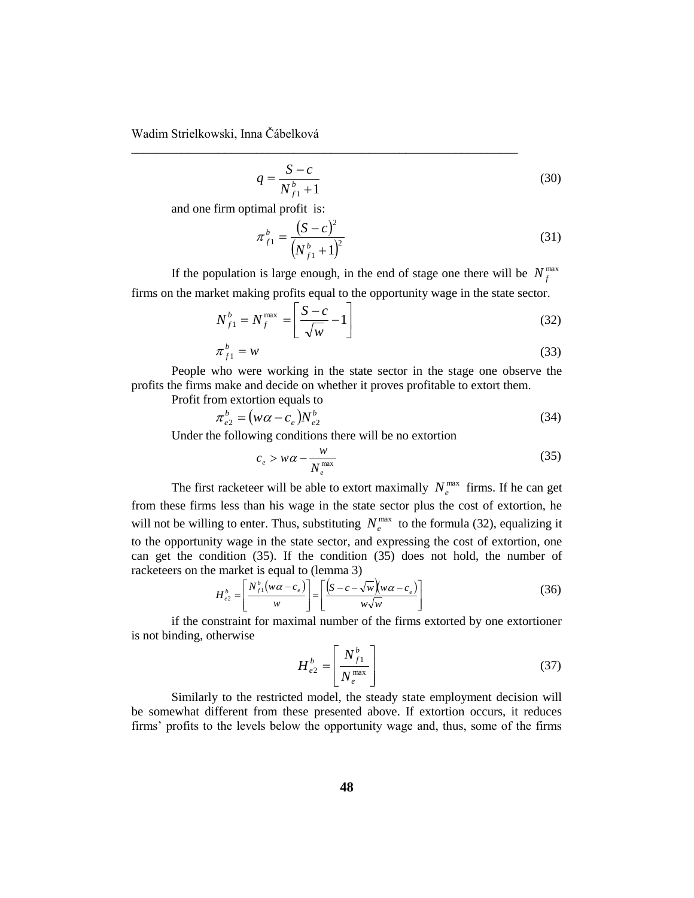$$
q = \frac{S - c}{N_{f1}^b + 1} \tag{30}
$$

and one firm optimal profit is:

$$
\pi_{f1}^{b} = \frac{(S-c)^2}{\left(N_{f1}^{b} + 1\right)^2} \tag{31}
$$

If the population is large enough, in the end of stage one there will be  $N_f^{\text{max}}$ firms on the market making profits equal to the opportunity wage in the state sector.

\_\_\_\_\_\_\_\_\_\_\_\_\_\_\_\_\_\_\_\_\_\_\_\_\_\_\_\_\_\_\_\_\_\_\_\_\_\_\_\_\_\_\_\_\_\_\_\_\_\_\_\_\_\_\_\_\_\_\_\_\_\_

$$
N_{f1}^{b} = N_{f}^{\max} = \left[ \frac{S - c}{\sqrt{w}} - 1 \right]
$$
 (32)

$$
\pi_{f1}^b = w \tag{33}
$$

People who were working in the state sector in the stage one observe the profits the firms make and decide on whether it proves profitable to extort them.

Profit from extortion equals to

$$
\pi_{e2}^b = \left(w\alpha - c_e\right)N_{e2}^b\tag{34}
$$

Under the following conditions there will be no extortion

$$
c_e > w\alpha - \frac{w}{N_e^{\max}}\tag{35}
$$

The first racketeer will be able to extort maximally  $N_e^{\max}$  firms. If he can get from these firms less than his wage in the state sector plus the cost of extortion, he will not be willing to enter. Thus, substituting  $N_e^{\text{max}}$  to the formula (32), equalizing it to the opportunity wage in the state sector, and expressing the cost of extortion, one can get the condition (35). If the condition (35) does not hold, the number of racketeers on the market is equal to (lemma 3)

$$
H_{e2}^{b} = \left[\frac{N_{f1}^{b}(w\alpha - c_{e})}{w}\right] = \left[\frac{\left(s - c - \sqrt{w}\right)(w\alpha - c_{e})}{w\sqrt{w}}\right]
$$
(36)

if the constraint for maximal number of the firms extorted by one extortioner is not binding, otherwise

$$
H_{e2}^{b} = \left[\frac{N_{f1}^{b}}{N_e^{\max}}\right]
$$
 (37)

Similarly to the restricted model, the steady state employment decision will be somewhat different from these presented above. If extortion occurs, it reduces firms' profits to the levels below the opportunity wage and, thus, some of the firms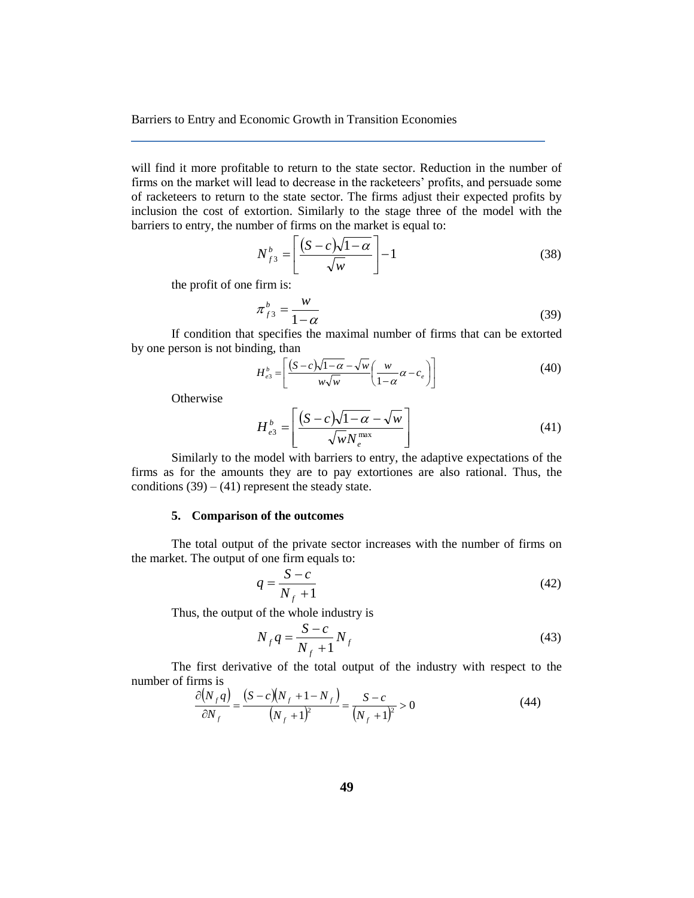will find it more profitable to return to the state sector. Reduction in the number of firms on the market will lead to decrease in the racketeers' profits, and persuade some of racketeers to return to the state sector. The firms adjust their expected profits by inclusion the cost of extortion. Similarly to the stage three of the model with the barriers to entry, the number of firms on the market is equal to:

$$
N_{f3}^{b} = \left[ \frac{(S-c)\sqrt{1-\alpha}}{\sqrt{w}} \right] - 1 \tag{38}
$$

the profit of one firm is:

$$
\pi_{f3}^b = \frac{w}{1 - \alpha} \tag{39}
$$

If condition that specifies the maximal number of firms that can be extorted by one person is not binding, than

$$
H_{e3}^{b} = \left[ \frac{(S-c)\sqrt{1-\alpha} - \sqrt{w}}{w\sqrt{w}} \left( \frac{w}{1-\alpha} \alpha - c_e \right) \right]
$$
(40)

**Otherwise** 

$$
H_{e3}^{b} = \left[ \frac{(S-c)\sqrt{1-\alpha} - \sqrt{w}}{\sqrt{w}N_e^{\max}} \right]
$$
 (41)

Similarly to the model with barriers to entry, the adaptive expectations of the firms as for the amounts they are to pay extortiones are also rational. Thus, the conditions  $(39) - (41)$  represent the steady state.

### **5. Comparison of the outcomes**

The total output of the private sector increases with the number of firms on the market. The output of one firm equals to:

$$
q = \frac{S - c}{N_f + 1} \tag{42}
$$

Thus, the output of the whole industry is

$$
N_f q = \frac{S - c}{N_f + 1} N_f \tag{43}
$$

The first derivative of the total output of the industry with respect to the number of firms is

$$
\frac{\partial (N_f q)}{\partial N_f} = \frac{(S - c)(N_f + 1 - N_f)}{(N_f + 1)^2} = \frac{S - c}{(N_f + 1)^2} > 0
$$
\n(44)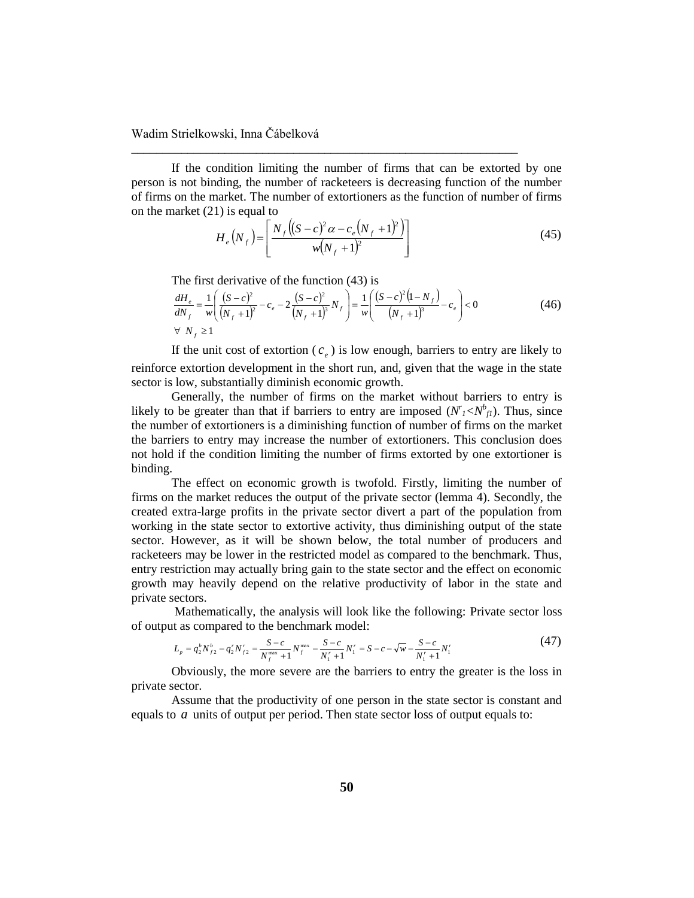If the condition limiting the number of firms that can be extorted by one person is not binding, the number of racketeers is decreasing function of the number of firms on the market. The number of extortioners as the function of number of firms on the market (21) is equal to

\_\_\_\_\_\_\_\_\_\_\_\_\_\_\_\_\_\_\_\_\_\_\_\_\_\_\_\_\_\_\_\_\_\_\_\_\_\_\_\_\_\_\_\_\_\_\_\_\_\_\_\_\_\_\_\_\_\_\_\_\_\_

$$
H_e(N_f) = \left[ \frac{N_f ((S - c)^2 \alpha - c_e (N_f + 1)^2)}{w (N_f + 1)^2} \right]
$$
(45)

The first derivative of the function (43) is

$$
\frac{dH_e}{dN_f} = \frac{1}{w} \left( \frac{(S-c)^2}{(N_f+1)^2} - c_e - 2 \frac{(S-c)^2}{(N_f+1)^3} N_f \right) = \frac{1}{w} \left( \frac{(S-c)^2 (1-N_f)}{(N_f+1)^3} - c_e \right) < 0
$$
\n
$$
\forall N_f \ge 1
$$
\n(46)

If the unit cost of extortion  $(c_e)$  is low enough, barriers to entry are likely to reinforce extortion development in the short run, and, given that the wage in the state sector is low, substantially diminish economic growth.

Generally, the number of firms on the market without barriers to entry is likely to be greater than that if barriers to entry are imposed  $(N_I < N_f^b)$ . Thus, since the number of extortioners is a diminishing function of number of firms on the market the barriers to entry may increase the number of extortioners. This conclusion does not hold if the condition limiting the number of firms extorted by one extortioner is binding.

The effect on economic growth is twofold. Firstly, limiting the number of firms on the market reduces the output of the private sector (lemma 4). Secondly, the created extra-large profits in the private sector divert a part of the population from working in the state sector to extortive activity, thus diminishing output of the state sector. However, as it will be shown below, the total number of producers and racketeers may be lower in the restricted model as compared to the benchmark. Thus, entry restriction may actually bring gain to the state sector and the effect on economic growth may heavily depend on the relative productivity of labor in the state and private sectors.

Mathematically, the analysis will look like the following: Private sector loss of output as compared to the benchmark model:

$$
L_p = q_2^b N_{f2}^b - q_2^r N_{f2}^r = \frac{S - c}{N_f^{\max} + 1} N_f^{\max} - \frac{S - c}{N_1^r + 1} N_1^r = S - c - \sqrt{w} - \frac{S - c}{N_1^r + 1} N_1^r
$$
\n
$$
\tag{47}
$$

Obviously, the more severe are the barriers to entry the greater is the loss in private sector.

Assume that the productivity of one person in the state sector is constant and equals to *a* units of output per period. Then state sector loss of output equals to: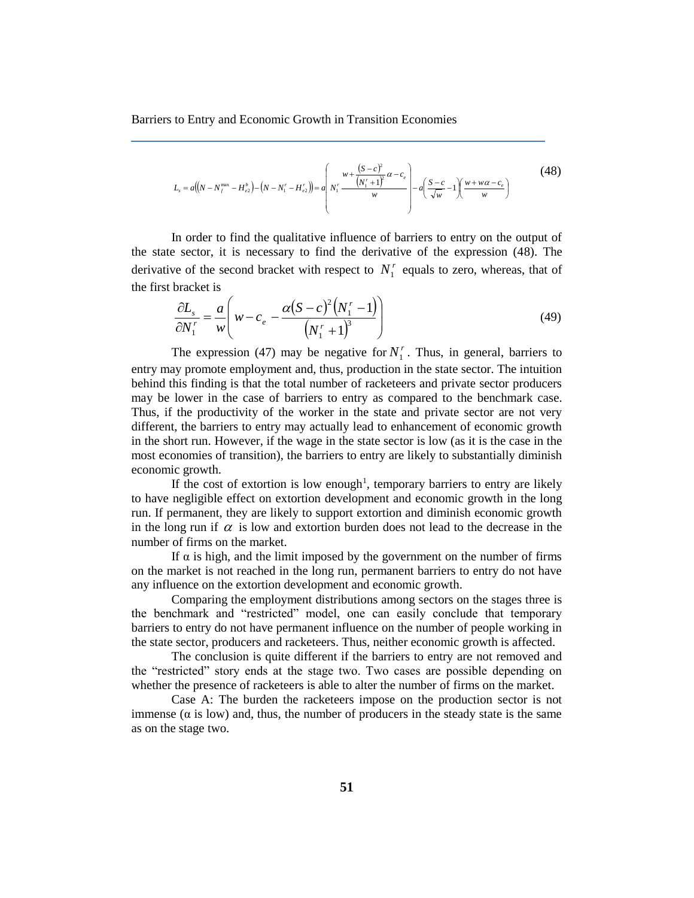$$
L_{s} = a((N - N_{f}^{\max} - H_{e2}^{b}) - (N - N_{1}^{r} - H_{e2}^{r})) = a\left(N_{1}^{r} \frac{(S - c)^{2}}{w}\alpha - c_{e}\right) - a\left(\frac{S - c}{\sqrt{w}} - 1\right)\frac{w + w\alpha - c_{e}}{w}
$$
\n(48)

In order to find the qualitative influence of barriers to entry on the output of the state sector, it is necessary to find the derivative of the expression (48). The derivative of the second bracket with respect to  $N_1^r$  equals to zero, whereas, that of the first bracket is

$$
\frac{\partial L_s}{\partial N_1^r} = \frac{a}{w} \left( w - c_e - \frac{\alpha (S - c)^2 (N_1^r - 1)}{(N_1^r + 1)^3} \right)
$$
(49)

The expression (47) may be negative for  $N_1^r$ . Thus, in general, barriers to entry may promote employment and, thus, production in the state sector. The intuition behind this finding is that the total number of racketeers and private sector producers may be lower in the case of barriers to entry as compared to the benchmark case. Thus, if the productivity of the worker in the state and private sector are not very different, the barriers to entry may actually lead to enhancement of economic growth in the short run. However, if the wage in the state sector is low (as it is the case in the most economies of transition), the barriers to entry are likely to substantially diminish economic growth.

If the cost of extortion is low enough<sup>1</sup>, temporary barriers to entry are likely to have negligible effect on extortion development and economic growth in the long run. If permanent, they are likely to support extortion and diminish economic growth in the long run if  $\alpha$  is low and extortion burden does not lead to the decrease in the number of firms on the market.

If  $\alpha$  is high, and the limit imposed by the government on the number of firms on the market is not reached in the long run, permanent barriers to entry do not have any influence on the extortion development and economic growth.

Comparing the employment distributions among sectors on the stages three is the benchmark and "restricted" model, one can easily conclude that temporary barriers to entry do not have permanent influence on the number of people working in the state sector, producers and racketeers. Thus, neither economic growth is affected.

The conclusion is quite different if the barriers to entry are not removed and the "restricted" story ends at the stage two. Two cases are possible depending on whether the presence of racketeers is able to alter the number of firms on the market.

Case A: The burden the racketeers impose on the production sector is not immense ( $\alpha$  is low) and, thus, the number of producers in the steady state is the same as on the stage two.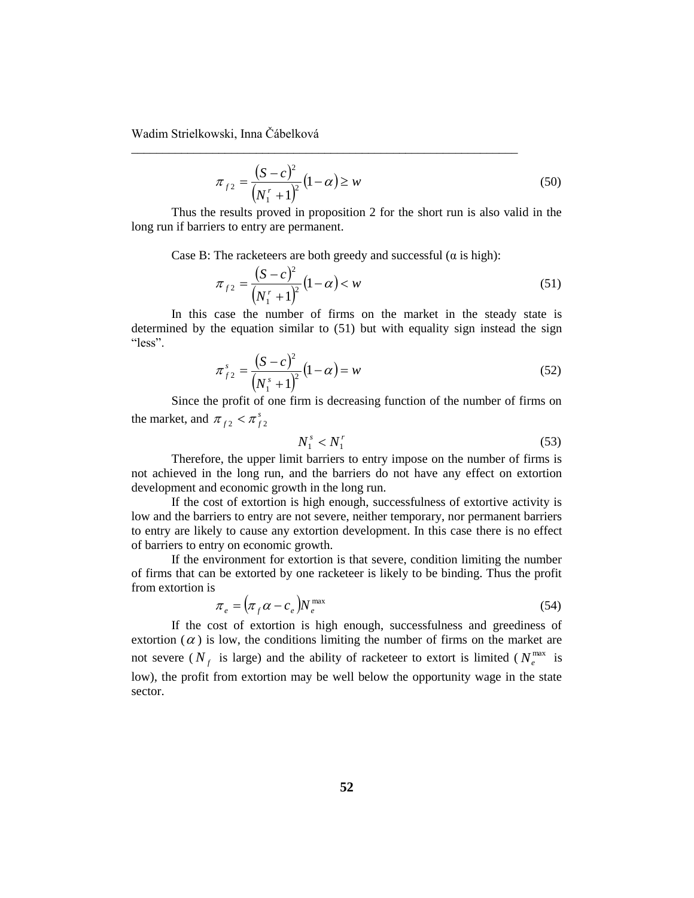$$
\pi_{f2} = \frac{(S-c)^2}{(N_1^r + 1)^2} (1-\alpha) \ge w \tag{50}
$$

Thus the results proved in proposition 2 for the short run is also valid in the long run if barriers to entry are permanent.

Case B: The racketeers are both greedy and successful ( $\alpha$  is high):

\_\_\_\_\_\_\_\_\_\_\_\_\_\_\_\_\_\_\_\_\_\_\_\_\_\_\_\_\_\_\_\_\_\_\_\_\_\_\_\_\_\_\_\_\_\_\_\_\_\_\_\_\_\_\_\_\_\_\_\_\_\_

$$
\pi_{f2} = \frac{(S-c)^2}{(N_1^r + 1)^2} (1-\alpha) < w \tag{51}
$$

In this case the number of firms on the market in the steady state is determined by the equation similar to (51) but with equality sign instead the sign "less".

$$
\pi_{f2}^{s} = \frac{(S-c)^2}{(N_1^{s}+1)^2} (1-\alpha) = w
$$
\n(52)

Since the profit of one firm is decreasing function of the number of firms on the market, and  $\pi_{f2} < \pi_{f2}^s$ 

$$
N_1^s < N_1^r \tag{53}
$$

Therefore, the upper limit barriers to entry impose on the number of firms is not achieved in the long run, and the barriers do not have any effect on extortion development and economic growth in the long run.

If the cost of extortion is high enough, successfulness of extortive activity is low and the barriers to entry are not severe, neither temporary, nor permanent barriers to entry are likely to cause any extortion development. In this case there is no effect of barriers to entry on economic growth.

If the environment for extortion is that severe, condition limiting the number of firms that can be extorted by one racketeer is likely to be binding. Thus the profit from extortion is

$$
\pi_e = (\pi_f \alpha - c_e) N_e^{\text{max}} \tag{54}
$$

If the cost of extortion is high enough, successfulness and greediness of extortion  $(a)$  is low, the conditions limiting the number of firms on the market are not severe ( $N_f$  is large) and the ability of racketeer to extort is limited ( $N_e^{\text{max}}$  is low), the profit from extortion may be well below the opportunity wage in the state sector.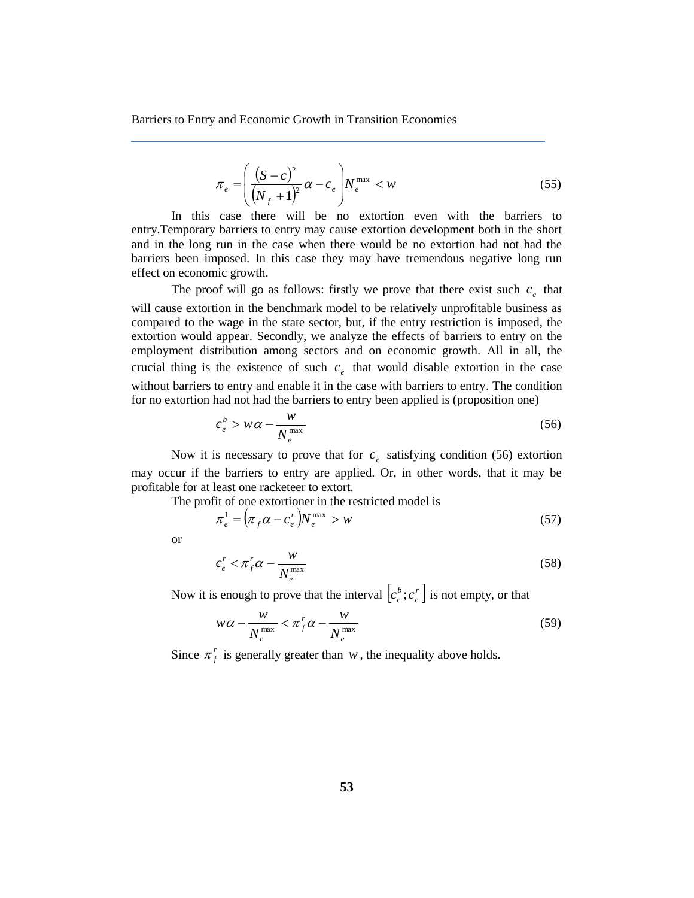$$
\pi_e = \left(\frac{(S-c)^2}{\left(N_f+1\right)^2} \alpha - c_e\right) N_e^{\max} < w \tag{55}
$$

In this case there will be no extortion even with the barriers to entry.Temporary barriers to entry may cause extortion development both in the short and in the long run in the case when there would be no extortion had not had the barriers been imposed. In this case they may have tremendous negative long run effect on economic growth.

The proof will go as follows: firstly we prove that there exist such  $c_e$  that will cause extortion in the benchmark model to be relatively unprofitable business as compared to the wage in the state sector, but, if the entry restriction is imposed, the extortion would appear. Secondly, we analyze the effects of barriers to entry on the employment distribution among sectors and on economic growth. All in all, the crucial thing is the existence of such  $c_e$  that would disable extortion in the case without barriers to entry and enable it in the case with barriers to entry. The condition for no extortion had not had the barriers to entry been applied is (proposition one)

$$
c_e^b > w\alpha - \frac{w}{N_e^{\max}}\tag{56}
$$

Now it is necessary to prove that for  $c_e$  satisfying condition (56) extortion may occur if the barriers to entry are applied. Or, in other words, that it may be profitable for at least one racketeer to extort.

The profit of one extortioner in the restricted model is

$$
\pi_e^1 = \left(\pi_f \alpha - c_e^r\right) N_e^{\text{max}} > w \tag{57}
$$

or

$$
c_e^r < \pi_f^r \alpha - \frac{w}{N_e^{\text{max}}}
$$
\n(58)

Now it is enough to prove that the interval  $\left|c^b\right|$ ;  $c^r$ *e b*  $c_e^b$ ;  $c_e^r$  is not empty, or that

$$
w\alpha - \frac{w}{N_e^{\max}} < \pi_f^r \alpha - \frac{w}{N_e^{\max}} \tag{59}
$$

Since  $\pi_f^r$  is generally greater than  $w$ , the inequality above holds.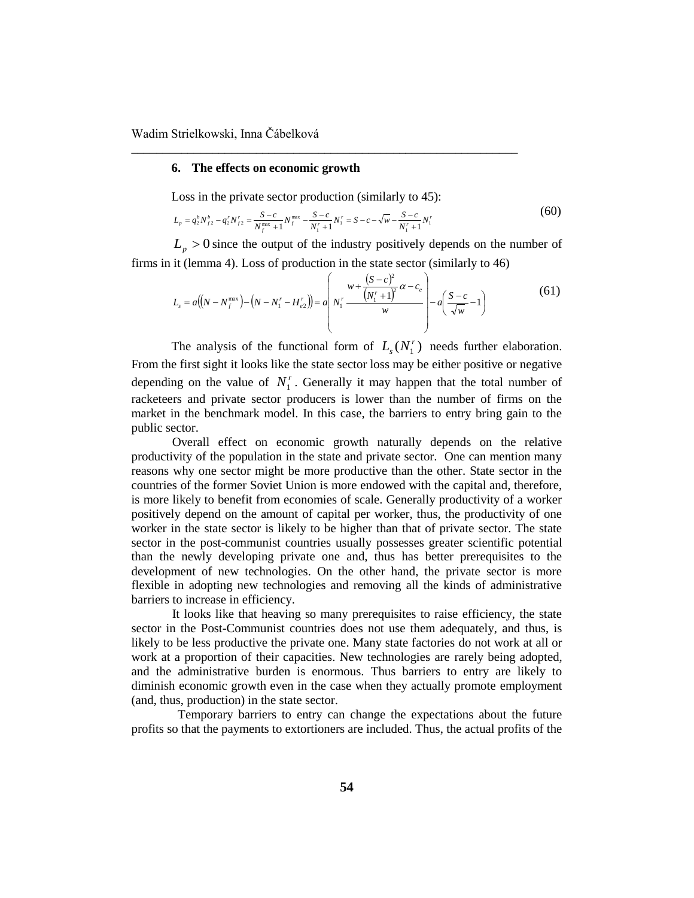## **6. The effects on economic growth**

Loss in the private sector production (similarly to 45):

\_\_\_\_\_\_\_\_\_\_\_\_\_\_\_\_\_\_\_\_\_\_\_\_\_\_\_\_\_\_\_\_\_\_\_\_\_\_\_\_\_\_\_\_\_\_\_\_\_\_\_\_\_\_\_\_\_\_\_\_\_\_

$$
L_p = q_2^b N_{f2}^b - q_2^r N_{f2}^r = \frac{S - c}{N_f^{\max} + 1} N_f^{\max} - \frac{S - c}{N_1^r + 1} N_1^r = S - c - \sqrt{w} - \frac{S - c}{N_1^r + 1} N_1^r
$$
(60)

 $L_p > 0$  since the output of the industry positively depends on the number of firms in it (lemma 4). Loss of production in the state sector (similarly to 46)

$$
L_{s} = a((N - N_{f}^{\max}) - (N - N_{1}^{r} - H_{e2}^{r})) = a\left(N_{1}^{r} - \frac{(N_{1}^{r} + 1)^{2}}{w}\alpha - c_{e}\right) - a\left(\frac{S - c}{\sqrt{w}} - 1\right)
$$
(61)

The analysis of the functional form of  $L_s(N_1^r)$  $L_s(N_1^r)$  needs further elaboration. From the first sight it looks like the state sector loss may be either positive or negative depending on the value of  $N_1^r$ . Generally it may happen that the total number of racketeers and private sector producers is lower than the number of firms on the market in the benchmark model. In this case, the barriers to entry bring gain to the public sector.

Overall effect on economic growth naturally depends on the relative productivity of the population in the state and private sector. One can mention many reasons why one sector might be more productive than the other. State sector in the countries of the former Soviet Union is more endowed with the capital and, therefore, is more likely to benefit from economies of scale. Generally productivity of a worker positively depend on the amount of capital per worker, thus, the productivity of one worker in the state sector is likely to be higher than that of private sector. The state sector in the post-communist countries usually possesses greater scientific potential than the newly developing private one and, thus has better prerequisites to the development of new technologies. On the other hand, the private sector is more flexible in adopting new technologies and removing all the kinds of administrative barriers to increase in efficiency.

It looks like that heaving so many prerequisites to raise efficiency, the state sector in the Post-Communist countries does not use them adequately, and thus, is likely to be less productive the private one. Many state factories do not work at all or work at a proportion of their capacities. New technologies are rarely being adopted, and the administrative burden is enormous. Thus barriers to entry are likely to diminish economic growth even in the case when they actually promote employment (and, thus, production) in the state sector.

 Temporary barriers to entry can change the expectations about the future profits so that the payments to extortioners are included. Thus, the actual profits of the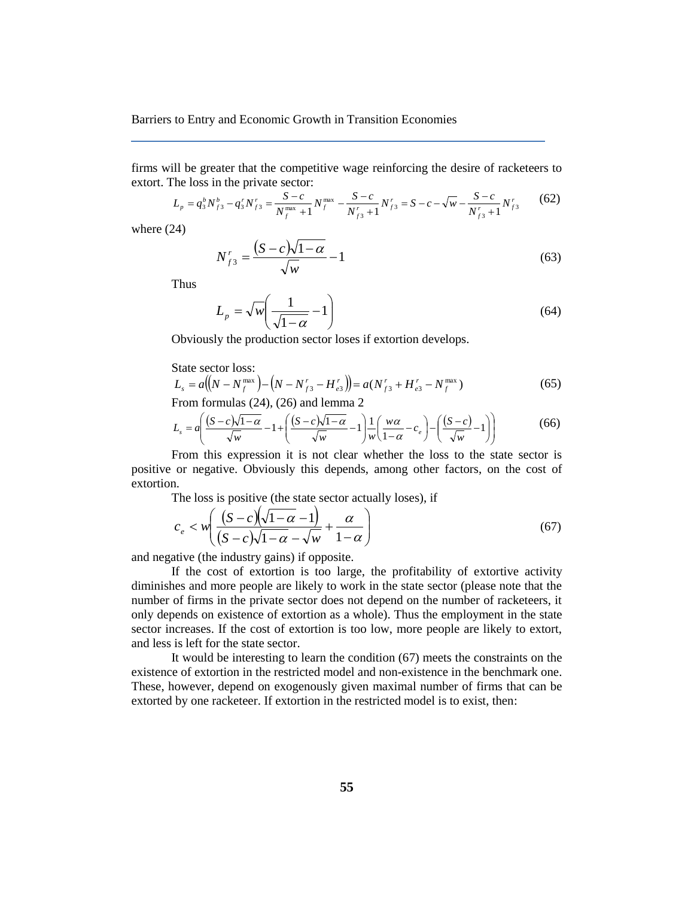firms will be greater that the competitive wage reinforcing the desire of racketeers to extort. The loss in the private sector:

$$
L_p = q_3^b N_{f3}^b - q_3^r N_{f3}^r = \frac{S-c}{N_f^{\max} + 1} N_f^{\max} - \frac{S-c}{N_{f3}^r + 1} N_{f3}^r = S - c - \sqrt{w} - \frac{S-c}{N_{f3}^r + 1} N_{f3}^r
$$
(62)

where (24)

$$
N_{f3}^r = \frac{(S-c)\sqrt{1-\alpha}}{\sqrt{w}} - 1\tag{63}
$$

Thus

$$
L_p = \sqrt{w} \left( \frac{1}{\sqrt{1 - \alpha}} - 1 \right) \tag{64}
$$

Obviously the production sector loses if extortion develops.

State sector loss:

$$
L_s = a\left((N - N_f^{\max}) - (N - N_{f3}^r - H_{e3}^r)\right) = a(N_{f3}^r + H_{e3}^r - N_f^{\max})
$$
\n(65)

From formulas (24), (26) and lemma 2

$$
L_s = a \left( \frac{(S-c)\sqrt{1-\alpha}}{\sqrt{w}} - 1 + \left( \frac{(S-c)\sqrt{1-\alpha}}{\sqrt{w}} - 1 \right) \frac{1}{w} \left( \frac{w\alpha}{1-\alpha} - c_e \right) - \left( \frac{(S-c)}{\sqrt{w}} - 1 \right) \right) \tag{66}
$$

From this expression it is not clear whether the loss to the state sector is positive or negative. Obviously this depends, among other factors, on the cost of extortion.

The loss is positive (the state sector actually loses), if

$$
c_e < w \bigg( \frac{(S-c)\sqrt{1-\alpha}-1)}{(S-c)\sqrt{1-\alpha}-\sqrt{w}} + \frac{\alpha}{1-\alpha} \bigg) \tag{67}
$$

and negative (the industry gains) if opposite.

If the cost of extortion is too large, the profitability of extortive activity diminishes and more people are likely to work in the state sector (please note that the number of firms in the private sector does not depend on the number of racketeers, it only depends on existence of extortion as a whole). Thus the employment in the state sector increases. If the cost of extortion is too low, more people are likely to extort, and less is left for the state sector.

It would be interesting to learn the condition (67) meets the constraints on the existence of extortion in the restricted model and non-existence in the benchmark one. These, however, depend on exogenously given maximal number of firms that can be extorted by one racketeer. If extortion in the restricted model is to exist, then: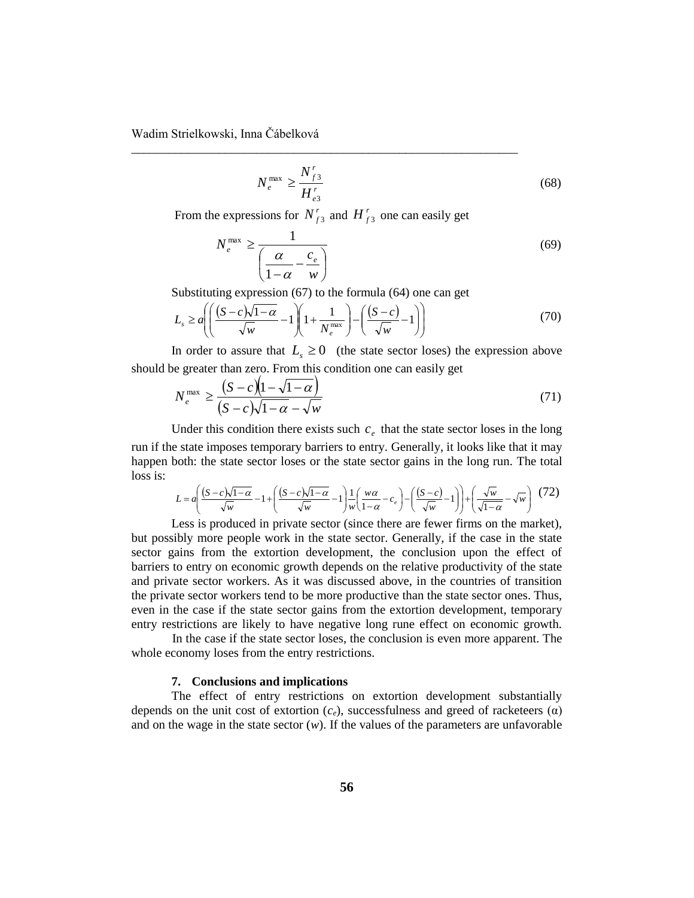$$
N_e^{\max} \ge \frac{N_{f3}^r}{H_{e3}^r} \tag{68}
$$

From the expressions for  $N_{f3}^r$  and  $H_{f3}^r$  one can easily get

\_\_\_\_\_\_\_\_\_\_\_\_\_\_\_\_\_\_\_\_\_\_\_\_\_\_\_\_\_\_\_\_\_\_\_\_\_\_\_\_\_\_\_\_\_\_\_\_\_\_\_\_\_\_\_\_\_\_\_\_\_\_

$$
N_e^{\max} \ge \frac{1}{\left(\frac{\alpha}{1-\alpha} - \frac{c_e}{w}\right)}\tag{69}
$$

Substituting expression (67) to the formula (64) one can get

$$
L_s \ge a \left( \left( \frac{(S-c)\sqrt{1-\alpha}}{\sqrt{w}} - 1 \right) \left( 1 + \frac{1}{N_e^{\max}} \right) - \left( \frac{(S-c)}{\sqrt{w}} - 1 \right) \right) \tag{70}
$$

In order to assure that  $L<sub>s</sub> \ge 0$  (the state sector loses) the expression above should be greater than zero. From this condition one can easily get

$$
N_e^{\max} \ge \frac{\left(S - c\right)\left(1 - \sqrt{1 - \alpha}\right)}{\left(S - c\right)\sqrt{1 - \alpha} - \sqrt{w}}\tag{71}
$$

Under this condition there exists such  $c_e$  that the state sector loses in the long run if the state imposes temporary barriers to entry. Generally, it looks like that it may happen both: the state sector loses or the state sector gains in the long run. The total loss is:

$$
L = a \left( \frac{(S-c)\sqrt{1-\alpha}}{\sqrt{w}} - 1 + \left( \frac{(S-c)\sqrt{1-\alpha}}{\sqrt{w}} - 1 \right) \frac{1}{w} \left( \frac{w\alpha}{1-\alpha} - c_e \right) - \left( \frac{(S-c)}{\sqrt{w}} - 1 \right) \right) + \left( \frac{\sqrt{w}}{\sqrt{1-\alpha}} - \sqrt{w} \right) (72)
$$

Less is produced in private sector (since there are fewer firms on the market), but possibly more people work in the state sector. Generally, if the case in the state sector gains from the extortion development, the conclusion upon the effect of barriers to entry on economic growth depends on the relative productivity of the state and private sector workers. As it was discussed above, in the countries of transition the private sector workers tend to be more productive than the state sector ones. Thus, even in the case if the state sector gains from the extortion development, temporary entry restrictions are likely to have negative long rune effect on economic growth.

In the case if the state sector loses, the conclusion is even more apparent. The whole economy loses from the entry restrictions.

### **7. Conclusions and implications**

The effect of entry restrictions on extortion development substantially depends on the unit cost of extortion  $(c_e)$ , successfulness and greed of racketeers  $(\alpha)$ and on the wage in the state sector  $(w)$ . If the values of the parameters are unfavorable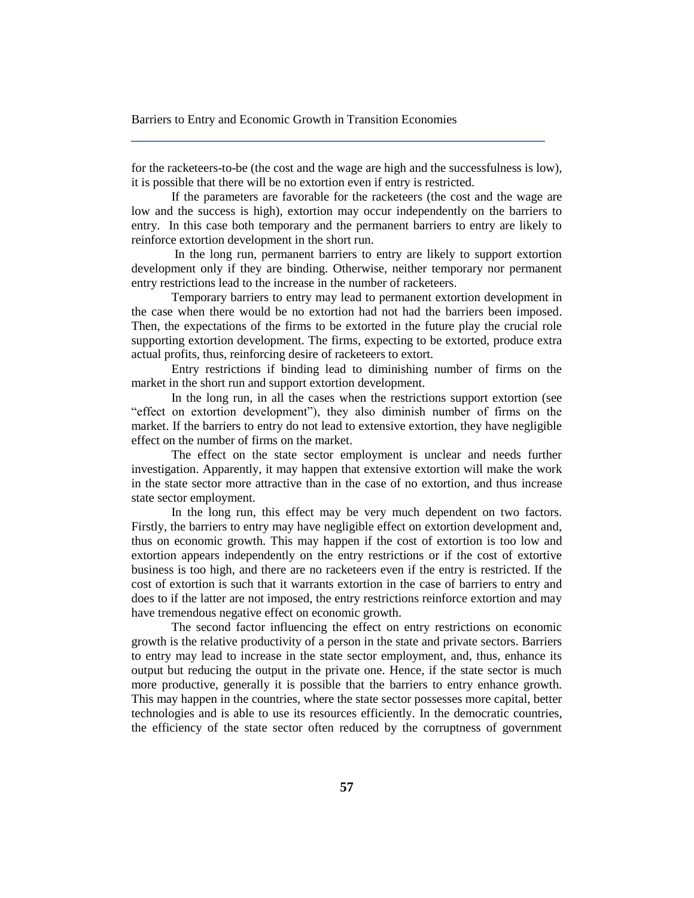for the racketeers-to-be (the cost and the wage are high and the successfulness is low), it is possible that there will be no extortion even if entry is restricted.

If the parameters are favorable for the racketeers (the cost and the wage are low and the success is high), extortion may occur independently on the barriers to entry. In this case both temporary and the permanent barriers to entry are likely to reinforce extortion development in the short run.

In the long run, permanent barriers to entry are likely to support extortion development only if they are binding. Otherwise, neither temporary nor permanent entry restrictions lead to the increase in the number of racketeers.

Temporary barriers to entry may lead to permanent extortion development in the case when there would be no extortion had not had the barriers been imposed. Then, the expectations of the firms to be extorted in the future play the crucial role supporting extortion development. The firms, expecting to be extorted, produce extra actual profits, thus, reinforcing desire of racketeers to extort.

Entry restrictions if binding lead to diminishing number of firms on the market in the short run and support extortion development.

In the long run, in all the cases when the restrictions support extortion (see "effect on extortion development"), they also diminish number of firms on the market. If the barriers to entry do not lead to extensive extortion, they have negligible effect on the number of firms on the market.

The effect on the state sector employment is unclear and needs further investigation. Apparently, it may happen that extensive extortion will make the work in the state sector more attractive than in the case of no extortion, and thus increase state sector employment.

In the long run, this effect may be very much dependent on two factors. Firstly, the barriers to entry may have negligible effect on extortion development and, thus on economic growth. This may happen if the cost of extortion is too low and extortion appears independently on the entry restrictions or if the cost of extortive business is too high, and there are no racketeers even if the entry is restricted. If the cost of extortion is such that it warrants extortion in the case of barriers to entry and does to if the latter are not imposed, the entry restrictions reinforce extortion and may have tremendous negative effect on economic growth.

The second factor influencing the effect on entry restrictions on economic growth is the relative productivity of a person in the state and private sectors. Barriers to entry may lead to increase in the state sector employment, and, thus, enhance its output but reducing the output in the private one. Hence, if the state sector is much more productive, generally it is possible that the barriers to entry enhance growth. This may happen in the countries, where the state sector possesses more capital, better technologies and is able to use its resources efficiently. In the democratic countries, the efficiency of the state sector often reduced by the corruptness of government